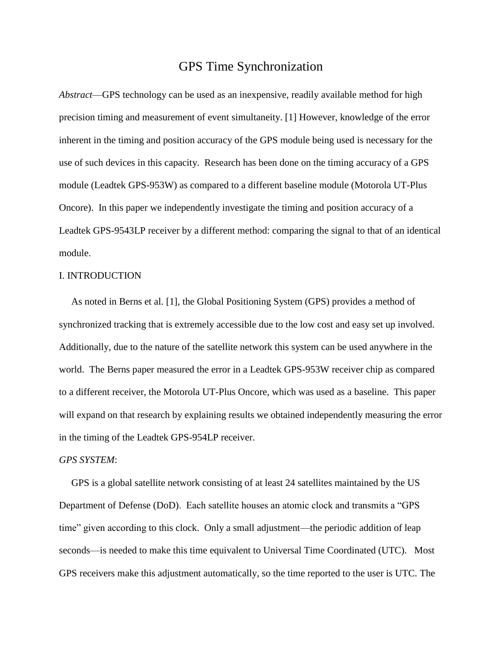# GPS Time Synchronization

*Abstract*—GPS technology can be used as an inexpensive, readily available method for high precision timing and measurement of event simultaneity. [1] However, knowledge of the error inherent in the timing and position accuracy of the GPS module being used is necessary for the use of such devices in this capacity. Research has been done on the timing accuracy of a GPS module (Leadtek GPS-953W) as compared to a different baseline module (Motorola UT-Plus Oncore). In this paper we independently investigate the timing and position accuracy of a Leadtek GPS-9543LP receiver by a different method: comparing the signal to that of an identical module.

## I. INTRODUCTION

 As noted in Berns et al. [1], the Global Positioning System (GPS) provides a method of synchronized tracking that is extremely accessible due to the low cost and easy set up involved. Additionally, due to the nature of the satellite network this system can be used anywhere in the world. The Berns paper measured the error in a Leadtek GPS-953W receiver chip as compared to a different receiver, the Motorola UT-Plus Oncore, which was used as a baseline. This paper will expand on that research by explaining results we obtained independently measuring the error in the timing of the Leadtek GPS-954LP receiver.

# *GPS SYSTEM*:

 GPS is a global satellite network consisting of at least 24 satellites maintained by the US Department of Defense (DoD). Each satellite houses an atomic clock and transmits a "GPS time" given according to this clock. Only a small adjustment—the periodic addition of leap seconds—is needed to make this time equivalent to Universal Time Coordinated (UTC). Most GPS receivers make this adjustment automatically, so the time reported to the user is UTC. The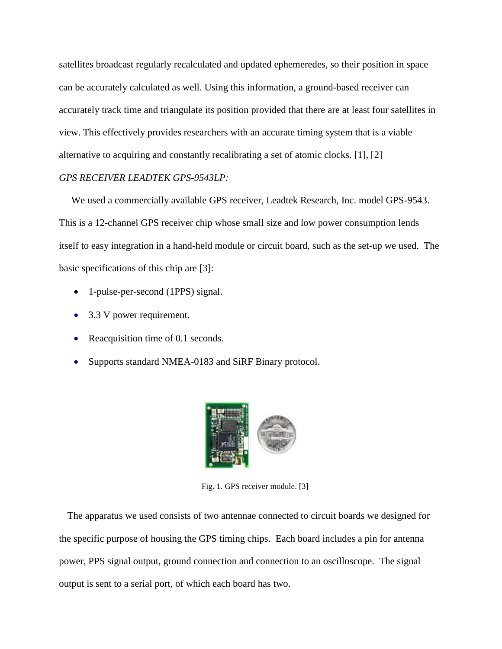satellites broadcast regularly recalculated and updated ephemeredes, so their position in space can be accurately calculated as well. Using this information, a ground-based receiver can accurately track time and triangulate its position provided that there are at least four satellites in view. This effectively provides researchers with an accurate timing system that is a viable alternative to acquiring and constantly recalibrating a set of atomic clocks. [1], [2]

## *GPS RECEIVER LEADTEK GPS-9543LP:*

 We used a commercially available GPS receiver, Leadtek Research, Inc. model GPS-9543. This is a 12-channel GPS receiver chip whose small size and low power consumption lends itself to easy integration in a hand-held module or circuit board, such as the set-up we used. The basic specifications of this chip are [3]:

- 1-pulse-per-second (1PPS) signal.
- 3.3 V power requirement.
- Reacquisition time of 0.1 seconds.
- Supports standard NMEA-0183 and SiRF Binary protocol.



Fig. 1. GPS receiver module. [3]

The apparatus we used consists of two antennae connected to circuit boards we designed for the specific purpose of housing the GPS timing chips. Each board includes a pin for antenna power, PPS signal output, ground connection and connection to an oscilloscope. The signal output is sent to a serial port, of which each board has two.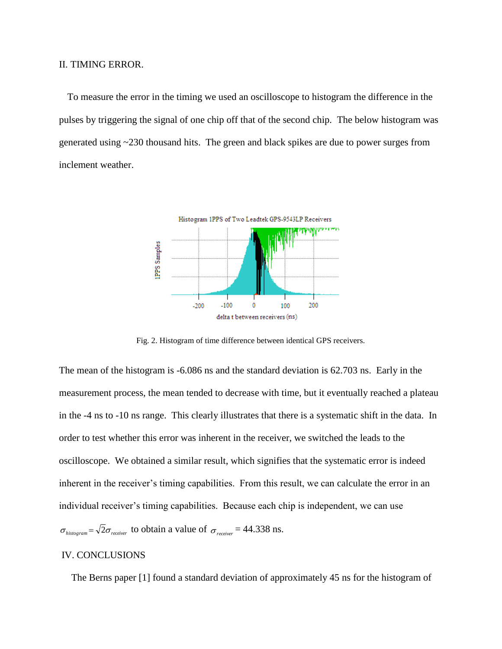#### II. TIMING ERROR.

To measure the error in the timing we used an oscilloscope to histogram the difference in the pulses by triggering the signal of one chip off that of the second chip. The below histogram was generated using ~230 thousand hits. The green and black spikes are due to power surges from inclement weather.



Fig. 2. Histogram of time difference between identical GPS receivers.

The mean of the histogram is -6.086 ns and the standard deviation is 62.703 ns. Early in the measurement process, the mean tended to decrease with time, but it eventually reached a plateau in the -4 ns to -10 ns range. This clearly illustrates that there is a systematic shift in the data. In order to test whether this error was inherent in the receiver, we switched the leads to the oscilloscope. We obtained a similar result, which signifies that the systematic error is indeed inherent in the receiver's timing capabilities. From this result, we can calculate the error in an individual receiver's timing capabilities. Because each chip is independent, we can use  $\sigma_{histogram} = \sqrt{2}\sigma_{receiver}$  to obtain a value of  $\sigma_{receiver} = 44.338$  ns.

## IV. CONCLUSIONS

The Berns paper [1] found a standard deviation of approximately 45 ns for the histogram of